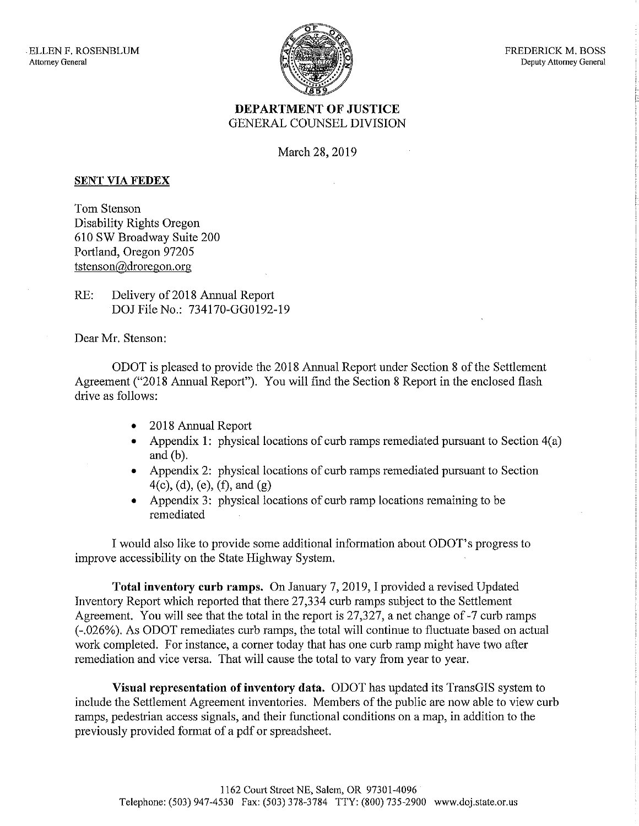

FREDERICK M. BOSS Deputy Attorney General

## DEPARTMENT OF JUSTICE GENERAL COUNSEL DIVISION

March 28, 2019

## SENT VIA FEDEX

Tom Stenson Disability Rights Oregon 610 SW Broadway Suite 200 Portland, Oregon 97205 tstenson@droregon.org

RE: Delivery of 2018 Annual Report DOJ File No.: 734170-GG0192-19

Dear Mr. Stenson:

ODOT is pleased to provide the 2018 Annual Report under Section 8 of the Settlement Agreement ("2018 Annual Report"). You will find the Section 8 Report in the enclosed flash drive as follows:

- 2018 Annual Report
- Appendix 1: physical locations of curb ramps remediated pursuant to Section 4(a) and (b).
- Appendix 2: physical locations of curb ramps remediated pursuant to Section  $4(c)$ , (d), (e), (f), and (g)
- Appendix 3: physical locations of curb ramp locations remaining to be remediated

I would also like to provide some additional information about ODOT's progress to improve accessibility on the State Highway System.

Total inventory curb ramps. On January 7, 2019, I provided a revised Updated Inventory Report which reported that there 27,334 curb ramps subject to the Settlement Agreement. You will see that the total in the report is 27,327, a net change of -7 curb ramps (-.026%). As ODOT remediates curb ramps, the total will continue to fluctuate based on actual work completed. For instance, a corner today that has one curb ramp might have two after remediation and vice versa. That will cause the total to vary from year to year.

Visual representation of inventory data. ODOT has updated its TransGlS system to include the Settlement Agreement inventories. Members of the public are now able to view curb ramps, pedestrian access signals, and their functional conditions on a map, in addition to the previously provided format of a pdf or spreadsheet.